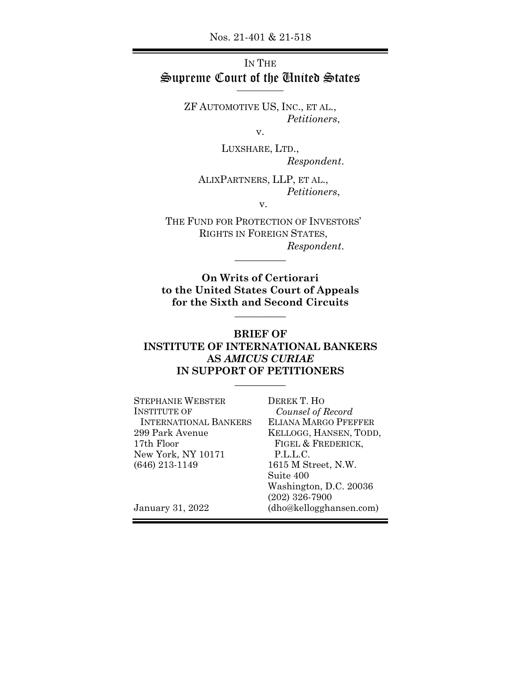Nos. 21-401 & 21-518

# IN THE Supreme Court of the United States \_\_\_\_\_\_\_\_\_\_

ZF AUTOMOTIVE US, INC., ET AL., *Petitioners*,

v.

LUXSHARE, LTD., *Respondent*.

ALIXPARTNERS, LLP, ET AL., *Petitioners*,

v.

THE FUND FOR PROTECTION OF INVESTORS' RIGHTS IN FOREIGN STATES, *Respondent*.

 $\overline{\phantom{a}}$ 

**On Writs of Certiorari to the United States Court of Appeals for the Sixth and Second Circuits**  $\overline{\phantom{a}}$ 

### **BRIEF OF INSTITUTE OF INTERNATIONAL BANKERS AS** *AMICUS CURIAE* **IN SUPPORT OF PETITIONERS**   $\overline{\phantom{a}}$

| <b>STEPHANIE WEBSTER</b>     | DEREK T. HO                 |
|------------------------------|-----------------------------|
| <b>INSTITUTE OF</b>          | Counsel of Record           |
| <b>INTERNATIONAL BANKERS</b> | <b>ELIANA MARGO PFEFFER</b> |
| 299 Park Avenue              | KELLOGG, HANSEN, TODD,      |
| 17th Floor                   | FIGEL & FREDERICK,          |
| New York, NY 10171           | P.L.L.C.                    |
| $(646)$ 213-1149             | 1615 M Street, N.W.         |
|                              | Suite 400                   |
|                              | Washington, D.C. 20036      |
|                              | $(202)$ 326-7900            |
| January 31, 2022             | (dho@kellogghansen.com)     |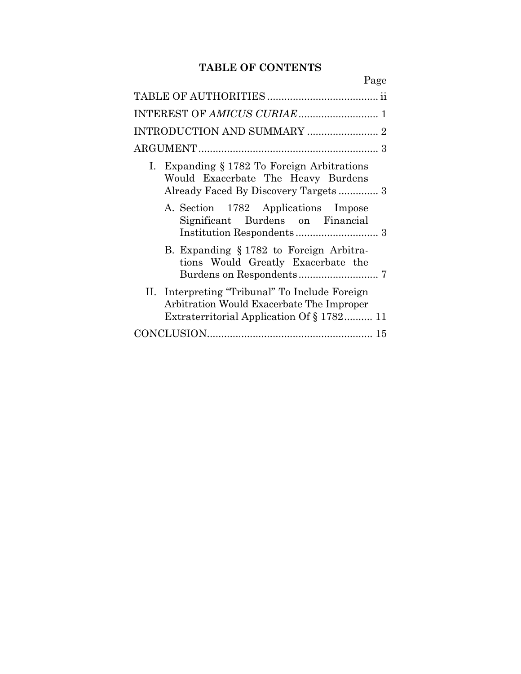# **TABLE OF CONTENTS**

| Page                                                                                                                                     |
|------------------------------------------------------------------------------------------------------------------------------------------|
|                                                                                                                                          |
|                                                                                                                                          |
|                                                                                                                                          |
|                                                                                                                                          |
| I. Expanding § 1782 To Foreign Arbitrations<br>Would Exacerbate The Heavy Burdens                                                        |
| A. Section 1782 Applications Impose<br>Significant Burdens on Financial                                                                  |
| B. Expanding § 1782 to Foreign Arbitra-<br>tions Would Greatly Exacerbate the                                                            |
| II. Interpreting "Tribunal" To Include Foreign<br>Arbitration Would Exacerbate The Improper<br>Extraterritorial Application Of § 1782 11 |
|                                                                                                                                          |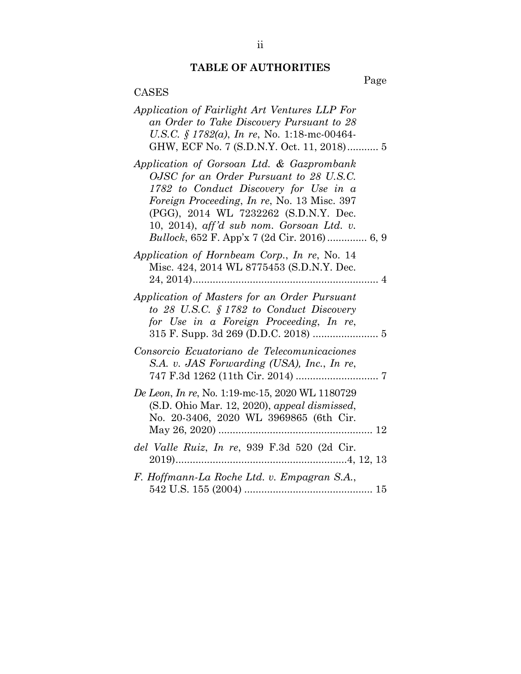# **TABLE OF AUTHORITIES**

Page

# CASES

| Application of Fairlight Art Ventures LLP For<br>an Order to Take Discovery Pursuant to 28<br>U.S.C. § 1782(a), In re, No. 1:18-mc-00464-<br>GHW, ECF No. 7 (S.D.N.Y. Oct. 11, 2018) 5                                                                                                                             |
|--------------------------------------------------------------------------------------------------------------------------------------------------------------------------------------------------------------------------------------------------------------------------------------------------------------------|
| Application of Gorsoan Ltd. & Gazprombank<br>OJSC for an Order Pursuant to 28 U.S.C.<br>1782 to Conduct Discovery for Use in a<br>Foreign Proceeding, In re, No. 13 Misc. 397<br>(PGG), 2014 WL 7232262 (S.D.N.Y. Dec.<br>10, 2014), aff'd sub nom. Gorsoan Ltd. v.<br>Bullock, 652 F. App'x 7 (2d Cir. 2016) 6, 9 |
| Application of Hornbeam Corp., In re, No. 14<br>Misc. 424, 2014 WL 8775453 (S.D.N.Y. Dec.                                                                                                                                                                                                                          |
| Application of Masters for an Order Pursuant<br>to 28 U.S.C. § 1782 to Conduct Discovery<br>for Use in a Foreign Proceeding, In re,                                                                                                                                                                                |
| Consorcio Ecuatoriano de Telecomunicaciones<br>S.A. v. JAS Forwarding (USA), Inc., In re,                                                                                                                                                                                                                          |
| De Leon, In re, No. 1:19-mc-15, 2020 WL 1180729<br>(S.D. Ohio Mar. 12, 2020), appeal dismissed,<br>No. 20-3406, 2020 WL 3969865 (6th Cir.                                                                                                                                                                          |
| del Valle Ruiz, In re, 939 F.3d 520 (2d Cir.                                                                                                                                                                                                                                                                       |
| F. Hoffmann-La Roche Ltd. v. Empagran S.A.,                                                                                                                                                                                                                                                                        |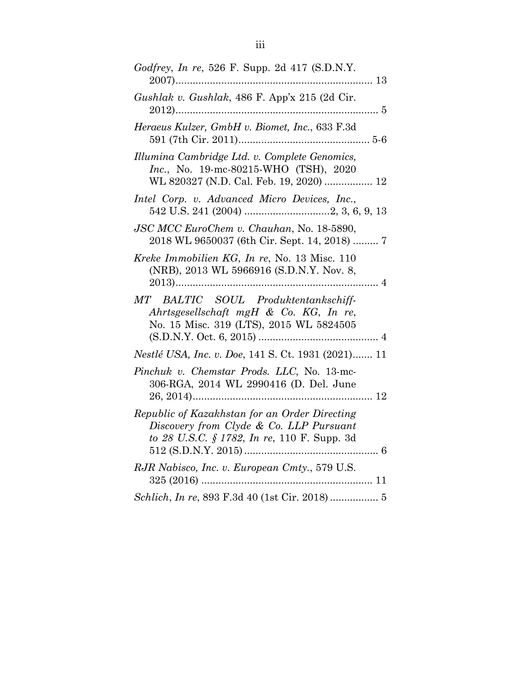| Godfrey, In re, 526 F. Supp. 2d 417 (S.D.N.Y.                                                                                             |
|-------------------------------------------------------------------------------------------------------------------------------------------|
| Gushlak v. Gushlak, 486 F. App'x 215 (2d Cir.                                                                                             |
| Heraeus Kulzer, GmbH v. Biomet, Inc., 633 F.3d                                                                                            |
| Illumina Cambridge Ltd. v. Complete Genomics,<br><i>Inc.</i> , No. 19-mc-80215-WHO (TSH), 2020<br>WL 820327 (N.D. Cal. Feb. 19, 2020)  12 |
| Intel Corp. v. Advanced Micro Devices, Inc.,                                                                                              |
| JSC MCC EuroChem v. Chauhan, No. 18-5890,<br>2018 WL 9650037 (6th Cir. Sept. 14, 2018)  7                                                 |
| Kreke Immobilien KG, In re, No. 13 Misc. 110<br>(NRB), 2013 WL 5966916 (S.D.N.Y. Nov. 8,                                                  |
|                                                                                                                                           |
| MT BALTIC SOUL Produktentankschiff-<br>Ahrtsgesellschaft mgH & Co. KG, In re,<br>No. 15 Misc. 319 (LTS), 2015 WL 5824505                  |
| Nestlé USA, Inc. v. Doe, 141 S. Ct. 1931 (2021) 11                                                                                        |
| Pinchuk v. Chemstar Prods. LLC, No. 13-mc-<br>306-RGA, 2014 WL 2990416 (D. Del. June                                                      |
| Republic of Kazakhstan for an Order Directing<br>Discovery from Clyde & Co. LLP Pursuant<br>to 28 U.S.C. § 1782, In re, 110 F. Supp. 3d   |
| RJR Nabisco, Inc. v. European Cmty., 579 U.S.                                                                                             |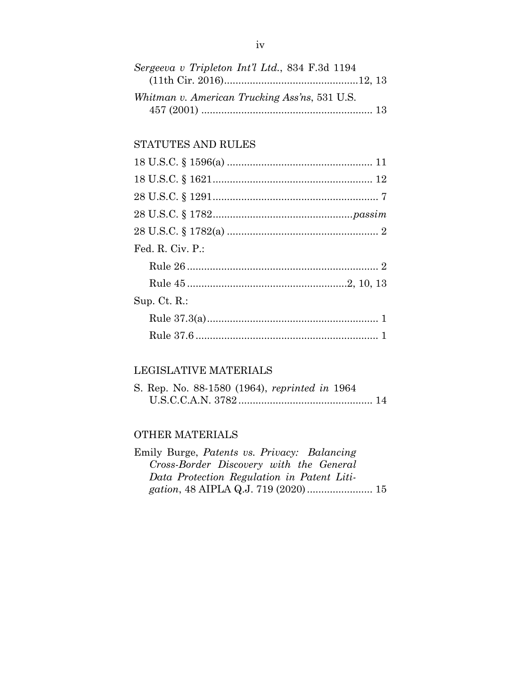| Sergeeva v Tripleton Int'l Ltd., 834 F.3d 1194 |  |
|------------------------------------------------|--|
|                                                |  |
| Whitman v. American Trucking Ass'ns, 531 U.S.  |  |
|                                                |  |

### STATUTES AND RULES

| Fed. R. Civ. P.: |  |
|------------------|--|
|                  |  |
|                  |  |
| $Sup.$ Ct. R.:   |  |
|                  |  |
|                  |  |

## LEGISLATIVE MATERIALS

|  |  | S. Rep. No. 88-1580 (1964), reprinted in 1964 |  |  |
|--|--|-----------------------------------------------|--|--|
|  |  |                                               |  |  |

### OTHER MATERIALS

| Emily Burge, Patents vs. Privacy: Balancing |  |
|---------------------------------------------|--|
| Cross-Border Discovery with the General     |  |
| Data Protection Regulation in Patent Liti-  |  |
|                                             |  |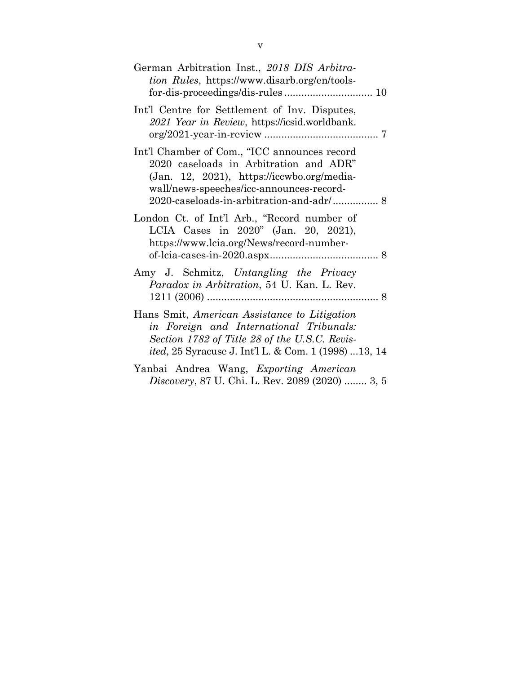| German Arbitration Inst., 2018 DIS Arbitra-<br><i>tion Rules</i> , https://www.disarb.org/en/tools-                                                                                                      |
|----------------------------------------------------------------------------------------------------------------------------------------------------------------------------------------------------------|
| Int'l Centre for Settlement of Inv. Disputes,<br>2021 Year in Review, https://icsid.worldbank.                                                                                                           |
| Int'l Chamber of Com., "ICC announces record<br>2020 caseloads in Arbitration and ADR"<br>$(Jan. 12, 2021)$ , https://iccwbo.org/media-<br>wall/news-speeches/icc-announces-record-                      |
| London Ct. of Int'l Arb., "Record number of<br>LCIA Cases in 2020" (Jan. 20, 2021),<br>https://www.lcia.org/News/record-number-                                                                          |
| Amy J. Schmitz, Untangling the Privacy<br>Paradox in Arbitration, 54 U. Kan. L. Rev.                                                                                                                     |
| Hans Smit, American Assistance to Litigation<br>in Foreign and International Tribunals:<br>Section 1782 of Title 28 of the U.S.C. Revis-<br><i>ited</i> , 25 Syracuse J. Int'l L. & Com. 1 (1998) 13, 14 |
| Yanbai Andrea Wang, Exporting American<br><i>Discovery</i> , 87 U. Chi. L. Rev. 2089 (2020)  3, 5                                                                                                        |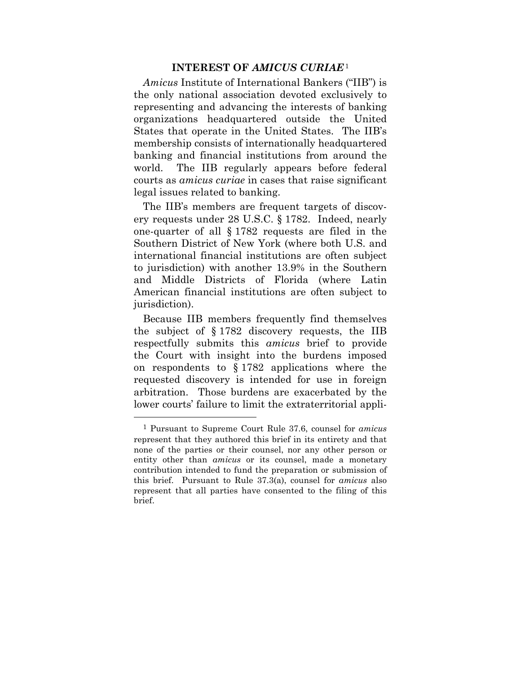#### **INTEREST OF** *AMICUS CURIAE*<sup>1</sup>

*Amicus* Institute of International Bankers ("IIB") is the only national association devoted exclusively to representing and advancing the interests of banking organizations headquartered outside the United States that operate in the United States. The IIB's membership consists of internationally headquartered banking and financial institutions from around the world. The IIB regularly appears before federal courts as *amicus curiae* in cases that raise significant legal issues related to banking.

The IIB's members are frequent targets of discovery requests under 28 U.S.C. § 1782. Indeed, nearly one-quarter of all § 1782 requests are filed in the Southern District of New York (where both U.S. and international financial institutions are often subject to jurisdiction) with another 13.9% in the Southern and Middle Districts of Florida (where Latin American financial institutions are often subject to jurisdiction).

Because IIB members frequently find themselves the subject of § 1782 discovery requests, the IIB respectfully submits this *amicus* brief to provide the Court with insight into the burdens imposed on respondents to § 1782 applications where the requested discovery is intended for use in foreign arbitration. Those burdens are exacerbated by the lower courts' failure to limit the extraterritorial appli-

 $\overline{a}$ 

<sup>1</sup> Pursuant to Supreme Court Rule 37.6, counsel for *amicus* represent that they authored this brief in its entirety and that none of the parties or their counsel, nor any other person or entity other than *amicus* or its counsel, made a monetary contribution intended to fund the preparation or submission of this brief. Pursuant to Rule 37.3(a), counsel for *amicus* also represent that all parties have consented to the filing of this brief.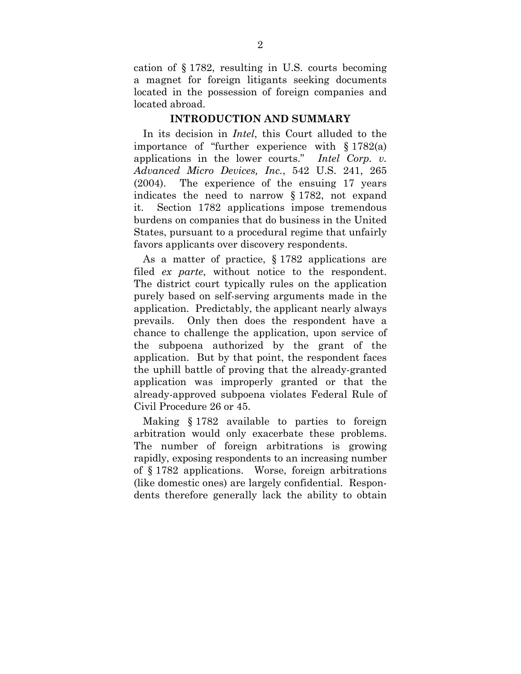cation of § 1782, resulting in U.S. courts becoming a magnet for foreign litigants seeking documents located in the possession of foreign companies and located abroad.

#### **INTRODUCTION AND SUMMARY**

In its decision in *Intel*, this Court alluded to the importance of "further experience with § 1782(a) applications in the lower courts." *Intel Corp. v. Advanced Micro Devices, Inc.*, 542 U.S. 241, 265 (2004). The experience of the ensuing 17 years indicates the need to narrow § 1782, not expand it. Section 1782 applications impose tremendous burdens on companies that do business in the United States, pursuant to a procedural regime that unfairly favors applicants over discovery respondents.

As a matter of practice, § 1782 applications are filed *ex parte*, without notice to the respondent. The district court typically rules on the application purely based on self-serving arguments made in the application. Predictably, the applicant nearly always prevails. Only then does the respondent have a chance to challenge the application, upon service of the subpoena authorized by the grant of the application. But by that point, the respondent faces the uphill battle of proving that the already-granted application was improperly granted or that the already-approved subpoena violates Federal Rule of Civil Procedure 26 or 45.

Making § 1782 available to parties to foreign arbitration would only exacerbate these problems. The number of foreign arbitrations is growing rapidly, exposing respondents to an increasing number of § 1782 applications. Worse, foreign arbitrations (like domestic ones) are largely confidential. Respondents therefore generally lack the ability to obtain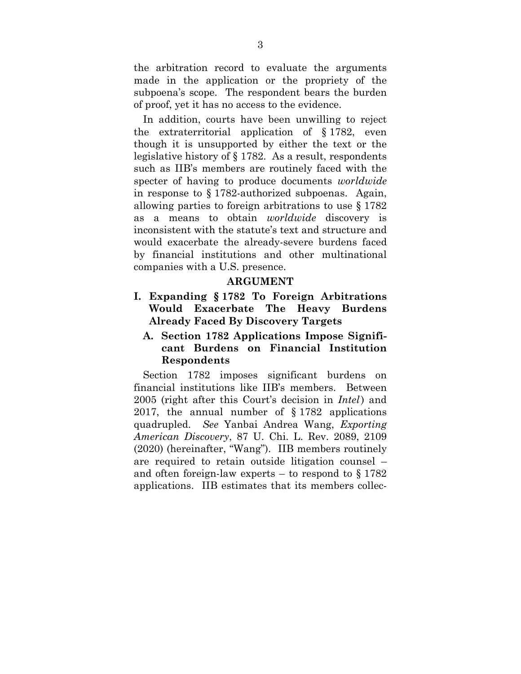the arbitration record to evaluate the arguments made in the application or the propriety of the subpoena's scope. The respondent bears the burden of proof, yet it has no access to the evidence.

In addition, courts have been unwilling to reject the extraterritorial application of § 1782, even though it is unsupported by either the text or the legislative history of § 1782. As a result, respondents such as IIB's members are routinely faced with the specter of having to produce documents *worldwide*  in response to § 1782-authorized subpoenas. Again, allowing parties to foreign arbitrations to use § 1782 as a means to obtain *worldwide* discovery is inconsistent with the statute's text and structure and would exacerbate the already-severe burdens faced by financial institutions and other multinational companies with a U.S. presence.

#### **ARGUMENT**

**I. Expanding § 1782 To Foreign Arbitrations Would Exacerbate The Heavy Burdens Already Faced By Discovery Targets** 

### **A. Section 1782 Applications Impose Significant Burdens on Financial Institution Respondents**

Section 1782 imposes significant burdens on financial institutions like IIB's members. Between 2005 (right after this Court's decision in *Intel*) and 2017, the annual number of § 1782 applications quadrupled. *See* Yanbai Andrea Wang, *Exporting American Discovery*, 87 U. Chi. L. Rev. 2089, 2109 (2020) (hereinafter, "Wang"). IIB members routinely are required to retain outside litigation counsel – and often foreign-law experts – to respond to  $\S 1782$ applications. IIB estimates that its members collec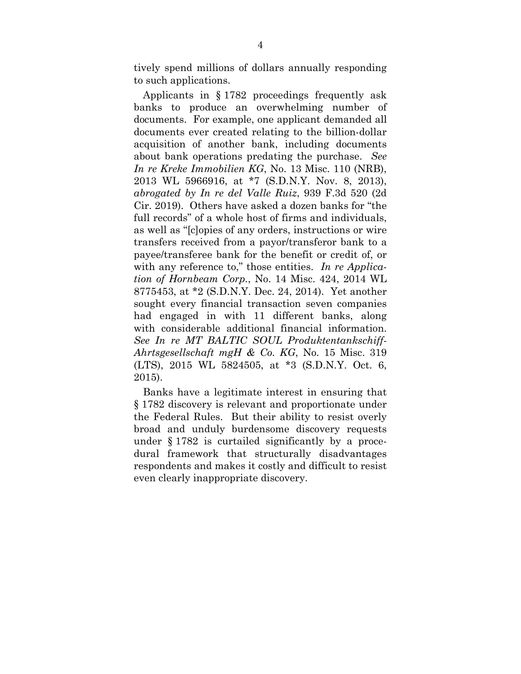tively spend millions of dollars annually responding to such applications.

Applicants in § 1782 proceedings frequently ask banks to produce an overwhelming number of documents. For example, one applicant demanded all documents ever created relating to the billion-dollar acquisition of another bank, including documents about bank operations predating the purchase. *See In re Kreke Immobilien KG*, No. 13 Misc. 110 (NRB), 2013 WL 5966916, at \*7 (S.D.N.Y. Nov. 8, 2013), *abrogated by In re del Valle Ruiz*, 939 F.3d 520 (2d Cir. 2019). Others have asked a dozen banks for "the full records" of a whole host of firms and individuals, as well as "[c]opies of any orders, instructions or wire transfers received from a payor/transferor bank to a payee/transferee bank for the benefit or credit of, or with any reference to," those entities. *In re Application of Hornbeam Corp.*, No. 14 Misc. 424, 2014 WL 8775453, at \*2 (S.D.N.Y. Dec. 24, 2014). Yet another sought every financial transaction seven companies had engaged in with 11 different banks, along with considerable additional financial information. *See In re MT BALTIC SOUL Produktentankschiff-Ahrtsgesellschaft mgH & Co. KG*, No. 15 Misc. 319 (LTS), 2015 WL 5824505, at \*3 (S.D.N.Y. Oct. 6, 2015).

Banks have a legitimate interest in ensuring that § 1782 discovery is relevant and proportionate under the Federal Rules. But their ability to resist overly broad and unduly burdensome discovery requests under § 1782 is curtailed significantly by a procedural framework that structurally disadvantages respondents and makes it costly and difficult to resist even clearly inappropriate discovery.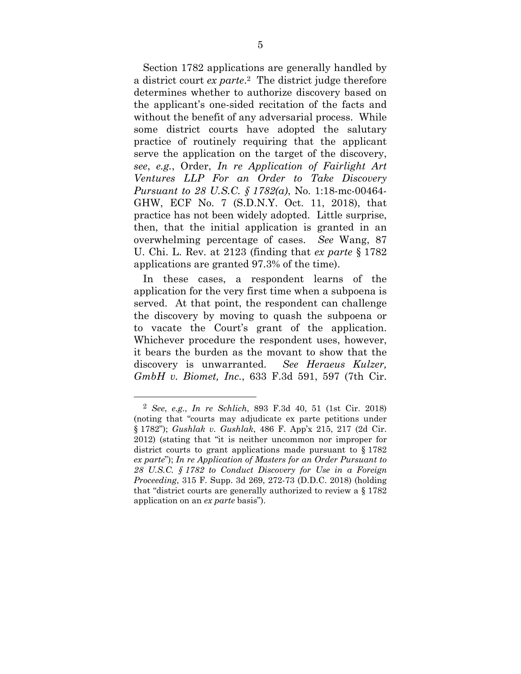Section 1782 applications are generally handled by a district court *ex parte*.2 The district judge therefore determines whether to authorize discovery based on the applicant's one-sided recitation of the facts and without the benefit of any adversarial process. While some district courts have adopted the salutary practice of routinely requiring that the applicant serve the application on the target of the discovery, *see*, *e.g.*, Order, *In re Application of Fairlight Art Ventures LLP For an Order to Take Discovery Pursuant to 28 U.S.C. § 1782(a)*, No. 1:18-mc-00464- GHW, ECF No. 7 (S.D.N.Y. Oct. 11, 2018), that practice has not been widely adopted. Little surprise, then, that the initial application is granted in an overwhelming percentage of cases. *See* Wang, 87 U. Chi. L. Rev. at 2123 (finding that *ex parte* § 1782 applications are granted 97.3% of the time).

In these cases, a respondent learns of the application for the very first time when a subpoena is served. At that point, the respondent can challenge the discovery by moving to quash the subpoena or to vacate the Court's grant of the application. Whichever procedure the respondent uses, however, it bears the burden as the movant to show that the discovery is unwarranted. *See Heraeus Kulzer, GmbH v. Biomet, Inc.*, 633 F.3d 591, 597 (7th Cir.

 $\overline{a}$ 

<sup>2</sup> *See*, *e.g.*, *In re Schlich*, 893 F.3d 40, 51 (1st Cir. 2018) (noting that "courts may adjudicate ex parte petitions under § 1782"); *Gushlak v. Gushlak*, 486 F. App'x 215, 217 (2d Cir. 2012) (stating that "it is neither uncommon nor improper for district courts to grant applications made pursuant to § 1782 *ex parte*"); *In re Application of Masters for an Order Pursuant to 28 U.S.C. § 1782 to Conduct Discovery for Use in a Foreign Proceeding*, 315 F. Supp. 3d 269, 272-73 (D.D.C. 2018) (holding that "district courts are generally authorized to review a § 1782 application on an *ex parte* basis").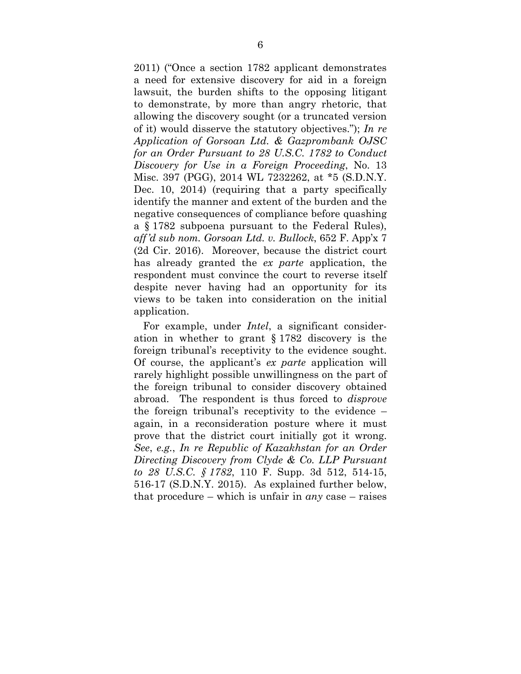2011) ("Once a section 1782 applicant demonstrates a need for extensive discovery for aid in a foreign lawsuit, the burden shifts to the opposing litigant to demonstrate, by more than angry rhetoric, that allowing the discovery sought (or a truncated version of it) would disserve the statutory objectives."); *In re Application of Gorsoan Ltd. & Gazprombank OJSC for an Order Pursuant to 28 U.S.C. 1782 to Conduct Discovery for Use in a Foreign Proceeding*, No. 13 Misc. 397 (PGG), 2014 WL 7232262, at \*5 (S.D.N.Y. Dec. 10, 2014) (requiring that a party specifically identify the manner and extent of the burden and the negative consequences of compliance before quashing a § 1782 subpoena pursuant to the Federal Rules), *aff'd sub nom. Gorsoan Ltd. v. Bullock*, 652 F. App'x 7 (2d Cir. 2016). Moreover, because the district court has already granted the *ex parte* application, the respondent must convince the court to reverse itself despite never having had an opportunity for its views to be taken into consideration on the initial application.

For example, under *Intel*, a significant consideration in whether to grant § 1782 discovery is the foreign tribunal's receptivity to the evidence sought. Of course, the applicant's *ex parte* application will rarely highlight possible unwillingness on the part of the foreign tribunal to consider discovery obtained abroad. The respondent is thus forced to *disprove*  the foreign tribunal's receptivity to the evidence – again, in a reconsideration posture where it must prove that the district court initially got it wrong. *See*, *e.g.*, *In re Republic of Kazakhstan for an Order Directing Discovery from Clyde & Co. LLP Pursuant to 28 U.S.C. § 1782*, 110 F. Supp. 3d 512, 514-15, 516-17 (S.D.N.Y. 2015). As explained further below, that procedure – which is unfair in *any* case – raises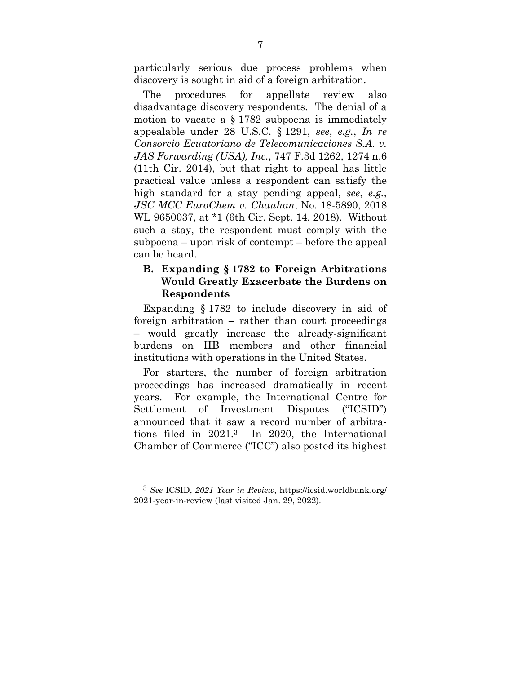particularly serious due process problems when discovery is sought in aid of a foreign arbitration.

The procedures for appellate review also disadvantage discovery respondents. The denial of a motion to vacate a  $\S 1782$  subpoena is immediately appealable under 28 U.S.C. § 1291, *see*, *e.g.*, *In re Consorcio Ecuatoriano de Telecomunicaciones S.A. v. JAS Forwarding (USA), Inc.*, 747 F.3d 1262, 1274 n.6 (11th Cir. 2014), but that right to appeal has little practical value unless a respondent can satisfy the high standard for a stay pending appeal, *see*, *e.g.*, *JSC MCC EuroChem v. Chauhan*, No. 18-5890, 2018 WL 9650037, at \*1 (6th Cir. Sept. 14, 2018). Without such a stay, the respondent must comply with the subpoena – upon risk of contempt – before the appeal can be heard.

### **B. Expanding § 1782 to Foreign Arbitrations Would Greatly Exacerbate the Burdens on Respondents**

Expanding § 1782 to include discovery in aid of foreign arbitration – rather than court proceedings – would greatly increase the already-significant burdens on IIB members and other financial institutions with operations in the United States.

For starters, the number of foreign arbitration proceedings has increased dramatically in recent years. For example, the International Centre for Settlement of Investment Disputes ("ICSID") announced that it saw a record number of arbitrations filed in 2021.3 In 2020, the International Chamber of Commerce ("ICC") also posted its highest

1

<sup>3</sup> *See* ICSID, *2021 Year in Review*, https://icsid.worldbank.org/ 2021-year-in-review (last visited Jan. 29, 2022).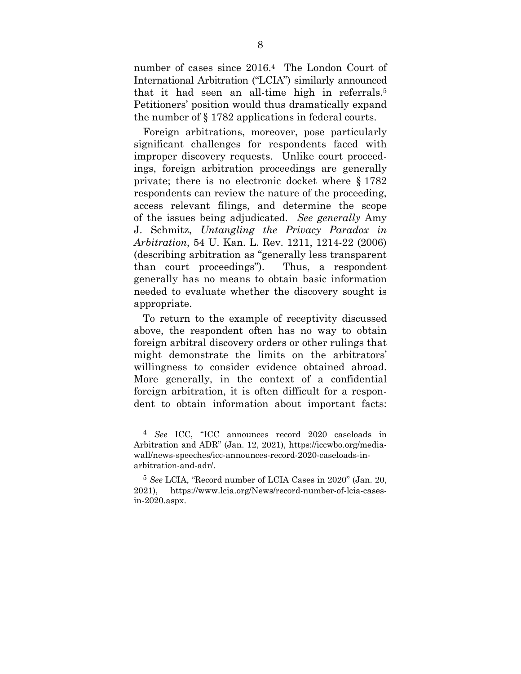number of cases since 2016.4 The London Court of International Arbitration ("LCIA") similarly announced that it had seen an all-time high in referrals.5 Petitioners' position would thus dramatically expand the number of § 1782 applications in federal courts.

Foreign arbitrations, moreover, pose particularly significant challenges for respondents faced with improper discovery requests. Unlike court proceedings, foreign arbitration proceedings are generally private; there is no electronic docket where § 1782 respondents can review the nature of the proceeding, access relevant filings, and determine the scope of the issues being adjudicated. *See generally* Amy J. Schmitz, *Untangling the Privacy Paradox in Arbitration*, 54 U. Kan. L. Rev. 1211, 1214-22 (2006) (describing arbitration as "generally less transparent than court proceedings"). Thus, a respondent generally has no means to obtain basic information needed to evaluate whether the discovery sought is appropriate.

To return to the example of receptivity discussed above, the respondent often has no way to obtain foreign arbitral discovery orders or other rulings that might demonstrate the limits on the arbitrators' willingness to consider evidence obtained abroad. More generally, in the context of a confidential foreign arbitration, it is often difficult for a respondent to obtain information about important facts:

 $\overline{a}$ 

<sup>4</sup> *See* ICC, "ICC announces record 2020 caseloads in Arbitration and ADR" (Jan. 12, 2021), https://iccwbo.org/mediawall/news-speeches/icc-announces-record-2020-caseloads-inarbitration-and-adr/.

<sup>5</sup> *See* LCIA, "Record number of LCIA Cases in 2020" (Jan. 20, 2021), https://www.lcia.org/News/record-number-of-lcia-casesin-2020.aspx.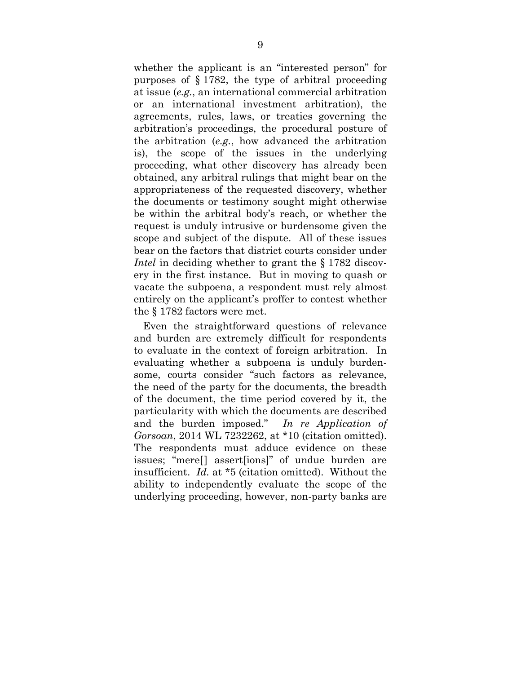whether the applicant is an "interested person" for purposes of § 1782, the type of arbitral proceeding at issue (*e.g.*, an international commercial arbitration or an international investment arbitration), the agreements, rules, laws, or treaties governing the arbitration's proceedings, the procedural posture of the arbitration (*e.g.*, how advanced the arbitration is), the scope of the issues in the underlying proceeding, what other discovery has already been obtained, any arbitral rulings that might bear on the appropriateness of the requested discovery, whether the documents or testimony sought might otherwise be within the arbitral body's reach, or whether the request is unduly intrusive or burdensome given the scope and subject of the dispute. All of these issues bear on the factors that district courts consider under *Intel* in deciding whether to grant the § 1782 discovery in the first instance. But in moving to quash or vacate the subpoena, a respondent must rely almost entirely on the applicant's proffer to contest whether the § 1782 factors were met.

Even the straightforward questions of relevance and burden are extremely difficult for respondents to evaluate in the context of foreign arbitration. In evaluating whether a subpoena is unduly burdensome, courts consider "such factors as relevance, the need of the party for the documents, the breadth of the document, the time period covered by it, the particularity with which the documents are described and the burden imposed." *In re Application of Gorsoan*, 2014 WL 7232262, at \*10 (citation omitted). The respondents must adduce evidence on these issues; "mere[] assert[ions]" of undue burden are insufficient. *Id.* at \*5 (citation omitted). Without the ability to independently evaluate the scope of the underlying proceeding, however, non-party banks are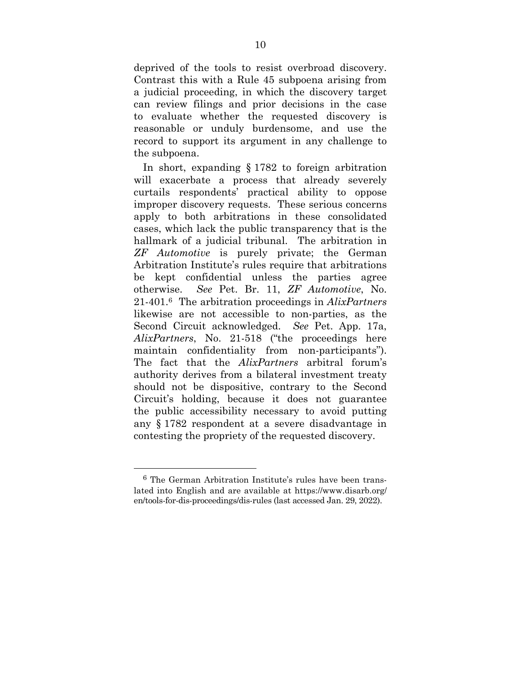deprived of the tools to resist overbroad discovery. Contrast this with a Rule 45 subpoena arising from a judicial proceeding, in which the discovery target can review filings and prior decisions in the case to evaluate whether the requested discovery is reasonable or unduly burdensome, and use the record to support its argument in any challenge to the subpoena.

In short, expanding § 1782 to foreign arbitration will exacerbate a process that already severely curtails respondents' practical ability to oppose improper discovery requests. These serious concerns apply to both arbitrations in these consolidated cases, which lack the public transparency that is the hallmark of a judicial tribunal. The arbitration in *ZF Automotive* is purely private; the German Arbitration Institute's rules require that arbitrations be kept confidential unless the parties agree otherwise. *See* Pet. Br. 11, *ZF Automotive*, No. 21-401.6 The arbitration proceedings in *AlixPartners*  likewise are not accessible to non-parties, as the Second Circuit acknowledged. *See* Pet. App. 17a, *AlixPartners*, No. 21-518 ("the proceedings here maintain confidentiality from non-participants"). The fact that the *AlixPartners* arbitral forum's authority derives from a bilateral investment treaty should not be dispositive, contrary to the Second Circuit's holding, because it does not guarantee the public accessibility necessary to avoid putting any § 1782 respondent at a severe disadvantage in contesting the propriety of the requested discovery.

-

<sup>6</sup> The German Arbitration Institute's rules have been translated into English and are available at https://www.disarb.org/ en/tools-for-dis-proceedings/dis-rules (last accessed Jan. 29, 2022).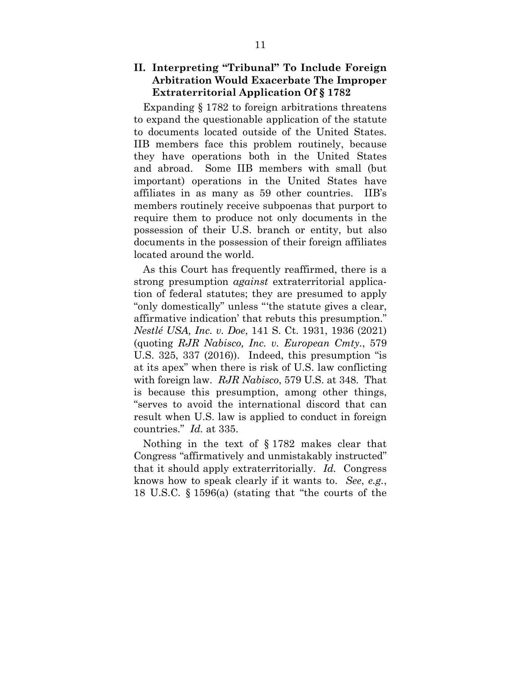### **II. Interpreting "Tribunal" To Include Foreign Arbitration Would Exacerbate The Improper Extraterritorial Application Of § 1782**

Expanding § 1782 to foreign arbitrations threatens to expand the questionable application of the statute to documents located outside of the United States. IIB members face this problem routinely, because they have operations both in the United States and abroad. Some IIB members with small (but important) operations in the United States have affiliates in as many as 59 other countries. IIB's members routinely receive subpoenas that purport to require them to produce not only documents in the possession of their U.S. branch or entity, but also documents in the possession of their foreign affiliates located around the world.

As this Court has frequently reaffirmed, there is a strong presumption *against* extraterritorial application of federal statutes; they are presumed to apply "only domestically" unless "'the statute gives a clear, affirmative indication' that rebuts this presumption." *Nestlé USA, Inc. v. Doe*, 141 S. Ct. 1931, 1936 (2021) (quoting *RJR Nabisco, Inc. v. European Cmty.*, 579 U.S. 325, 337 (2016)). Indeed, this presumption "is at its apex" when there is risk of U.S. law conflicting with foreign law. *RJR Nabisco*, 579 U.S. at 348. That is because this presumption, among other things, "serves to avoid the international discord that can result when U.S. law is applied to conduct in foreign countries." *Id.* at 335.

Nothing in the text of § 1782 makes clear that Congress "affirmatively and unmistakably instructed" that it should apply extraterritorially. *Id.* Congress knows how to speak clearly if it wants to. *See*, *e.g.*, 18 U.S.C. § 1596(a) (stating that "the courts of the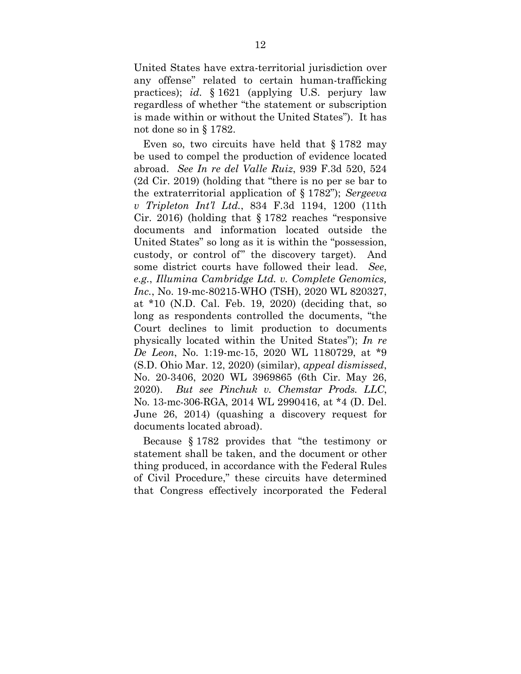United States have extra-territorial jurisdiction over any offense" related to certain human-trafficking practices); *id.* § 1621 (applying U.S. perjury law regardless of whether "the statement or subscription is made within or without the United States"). It has not done so in § 1782.

Even so, two circuits have held that § 1782 may be used to compel the production of evidence located abroad. *See In re del Valle Ruiz*, 939 F.3d 520, 524 (2d Cir. 2019) (holding that "there is no per se bar to the extraterritorial application of § 1782"); *Sergeeva v Tripleton Int'l Ltd.*, 834 F.3d 1194, 1200 (11th Cir. 2016) (holding that § 1782 reaches "responsive documents and information located outside the United States" so long as it is within the "possession, custody, or control of" the discovery target). And some district courts have followed their lead. *See*, *e.g.*, *Illumina Cambridge Ltd. v. Complete Genomics, Inc.*, No. 19-mc-80215-WHO (TSH), 2020 WL 820327, at \*10 (N.D. Cal. Feb. 19, 2020) (deciding that, so long as respondents controlled the documents, "the Court declines to limit production to documents physically located within the United States"); *In re De Leon*, No. 1:19-mc-15, 2020 WL 1180729, at \*9 (S.D. Ohio Mar. 12, 2020) (similar), *appeal dismissed*, No. 20-3406, 2020 WL 3969865 (6th Cir. May 26, 2020). *But see Pinchuk v. Chemstar Prods. LLC*, No. 13-mc-306-RGA, 2014 WL 2990416, at \*4 (D. Del. June 26, 2014) (quashing a discovery request for documents located abroad).

Because § 1782 provides that "the testimony or statement shall be taken, and the document or other thing produced, in accordance with the Federal Rules of Civil Procedure," these circuits have determined that Congress effectively incorporated the Federal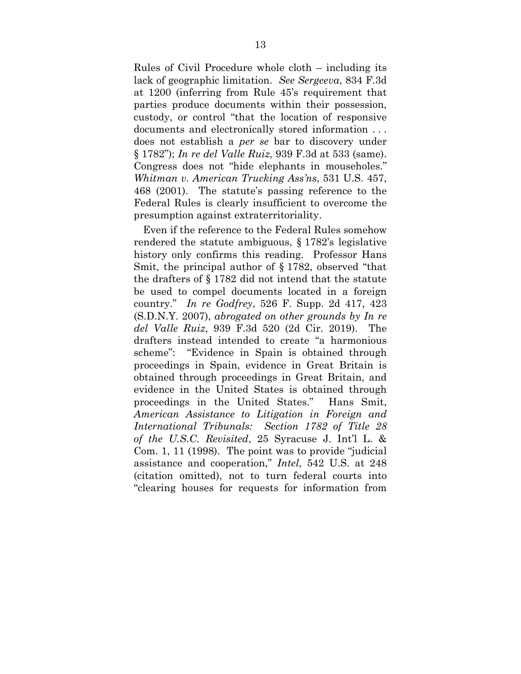Rules of Civil Procedure whole cloth – including its lack of geographic limitation. *See Sergeeva*, 834 F.3d at 1200 (inferring from Rule 45's requirement that parties produce documents within their possession, custody, or control "that the location of responsive documents and electronically stored information . . . does not establish a *per se* bar to discovery under § 1782"); *In re del Valle Ruiz*, 939 F.3d at 533 (same). Congress does not "hide elephants in mouseholes." *Whitman v. American Trucking Ass'ns*, 531 U.S. 457, 468 (2001). The statute's passing reference to the Federal Rules is clearly insufficient to overcome the presumption against extraterritoriality.

Even if the reference to the Federal Rules somehow rendered the statute ambiguous, § 1782's legislative history only confirms this reading. Professor Hans Smit, the principal author of § 1782, observed "that the drafters of § 1782 did not intend that the statute be used to compel documents located in a foreign country." *In re Godfrey*, 526 F. Supp. 2d 417, 423 (S.D.N.Y. 2007), *abrogated on other grounds by In re del Valle Ruiz*, 939 F.3d 520 (2d Cir. 2019). The drafters instead intended to create "a harmonious scheme": "Evidence in Spain is obtained through proceedings in Spain, evidence in Great Britain is obtained through proceedings in Great Britain, and evidence in the United States is obtained through proceedings in the United States." Hans Smit, *American Assistance to Litigation in Foreign and International Tribunals: Section 1782 of Title 28 of the U.S.C. Revisited*, 25 Syracuse J. Int'l L. & Com. 1, 11 (1998). The point was to provide "judicial assistance and cooperation," *Intel*, 542 U.S. at 248 (citation omitted), not to turn federal courts into "clearing houses for requests for information from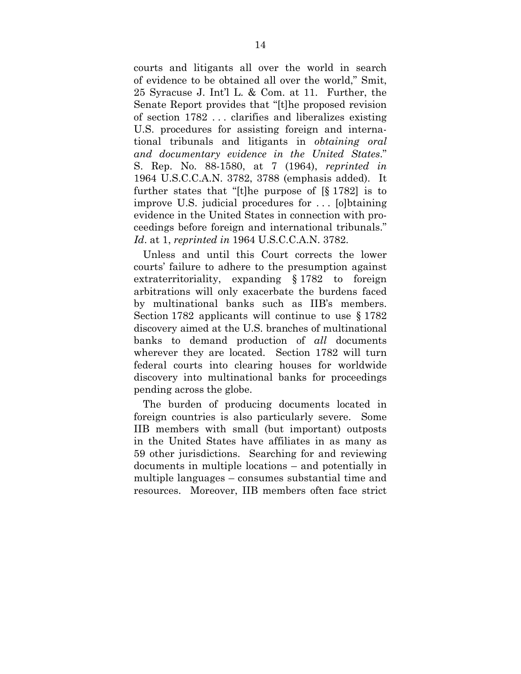courts and litigants all over the world in search of evidence to be obtained all over the world," Smit, 25 Syracuse J. Int'l L. & Com. at 11. Further, the Senate Report provides that "[t]he proposed revision of section 1782 . . . clarifies and liberalizes existing U.S. procedures for assisting foreign and international tribunals and litigants in *obtaining oral and documentary evidence in the United States*." S. Rep. No. 88-1580, at 7 (1964), *reprinted in*  1964 U.S.C.C.A.N. 3782, 3788 (emphasis added). It further states that "[t]he purpose of [§ 1782] is to improve U.S. judicial procedures for . . . [o]btaining evidence in the United States in connection with proceedings before foreign and international tribunals." *Id*. at 1, *reprinted in* 1964 U.S.C.C.A.N. 3782.

Unless and until this Court corrects the lower courts' failure to adhere to the presumption against extraterritoriality, expanding § 1782 to foreign arbitrations will only exacerbate the burdens faced by multinational banks such as IIB's members. Section 1782 applicants will continue to use § 1782 discovery aimed at the U.S. branches of multinational banks to demand production of *all* documents wherever they are located. Section 1782 will turn federal courts into clearing houses for worldwide discovery into multinational banks for proceedings pending across the globe.

The burden of producing documents located in foreign countries is also particularly severe. Some IIB members with small (but important) outposts in the United States have affiliates in as many as 59 other jurisdictions. Searching for and reviewing documents in multiple locations – and potentially in multiple languages – consumes substantial time and resources. Moreover, IIB members often face strict